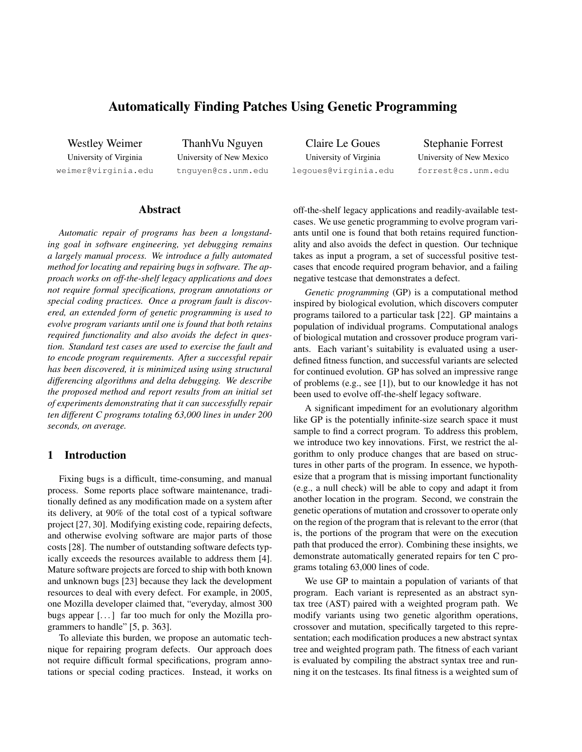# Automatically Finding Patches Using Genetic Programming

Westley Weimer University of Virginia weimer@virginia.edu

ThanhVu Nguyen University of New Mexico tnguyen@cs.unm.edu

Claire Le Goues University of Virginia legoues@virginia.edu

Stephanie Forrest University of New Mexico forrest@cs.unm.edu

## Abstract

*Automatic repair of programs has been a longstanding goal in software engineering, yet debugging remains a largely manual process. We introduce a fully automated method for locating and repairing bugs in software. The approach works on off-the-shelf legacy applications and does not require formal specifications, program annotations or special coding practices. Once a program fault is discovered, an extended form of genetic programming is used to evolve program variants until one is found that both retains required functionality and also avoids the defect in question. Standard test cases are used to exercise the fault and to encode program requirements. After a successful repair has been discovered, it is minimized using using structural differencing algorithms and delta debugging. We describe the proposed method and report results from an initial set of experiments demonstrating that it can successfully repair ten different C programs totaling 63,000 lines in under 200 seconds, on average.*

# 1 Introduction

Fixing bugs is a difficult, time-consuming, and manual process. Some reports place software maintenance, traditionally defined as any modification made on a system after its delivery, at 90% of the total cost of a typical software project [27, 30]. Modifying existing code, repairing defects, and otherwise evolving software are major parts of those costs [28]. The number of outstanding software defects typically exceeds the resources available to address them [4]. Mature software projects are forced to ship with both known and unknown bugs [23] because they lack the development resources to deal with every defect. For example, in 2005, one Mozilla developer claimed that, "everyday, almost 300 bugs appear  $[...]$  far too much for only the Mozilla programmers to handle" [5, p. 363].

To alleviate this burden, we propose an automatic technique for repairing program defects. Our approach does not require difficult formal specifications, program annotations or special coding practices. Instead, it works on off-the-shelf legacy applications and readily-available testcases. We use genetic programming to evolve program variants until one is found that both retains required functionality and also avoids the defect in question. Our technique takes as input a program, a set of successful positive testcases that encode required program behavior, and a failing negative testcase that demonstrates a defect.

*Genetic programming* (GP) is a computational method inspired by biological evolution, which discovers computer programs tailored to a particular task [22]. GP maintains a population of individual programs. Computational analogs of biological mutation and crossover produce program variants. Each variant's suitability is evaluated using a userdefined fitness function, and successful variants are selected for continued evolution. GP has solved an impressive range of problems (e.g., see [1]), but to our knowledge it has not been used to evolve off-the-shelf legacy software.

A significant impediment for an evolutionary algorithm like GP is the potentially infinite-size search space it must sample to find a correct program. To address this problem, we introduce two key innovations. First, we restrict the algorithm to only produce changes that are based on structures in other parts of the program. In essence, we hypothesize that a program that is missing important functionality (e.g., a null check) will be able to copy and adapt it from another location in the program. Second, we constrain the genetic operations of mutation and crossover to operate only on the region of the program that is relevant to the error (that is, the portions of the program that were on the execution path that produced the error). Combining these insights, we demonstrate automatically generated repairs for ten C programs totaling 63,000 lines of code.

We use GP to maintain a population of variants of that program. Each variant is represented as an abstract syntax tree (AST) paired with a weighted program path. We modify variants using two genetic algorithm operations, crossover and mutation, specifically targeted to this representation; each modification produces a new abstract syntax tree and weighted program path. The fitness of each variant is evaluated by compiling the abstract syntax tree and running it on the testcases. Its final fitness is a weighted sum of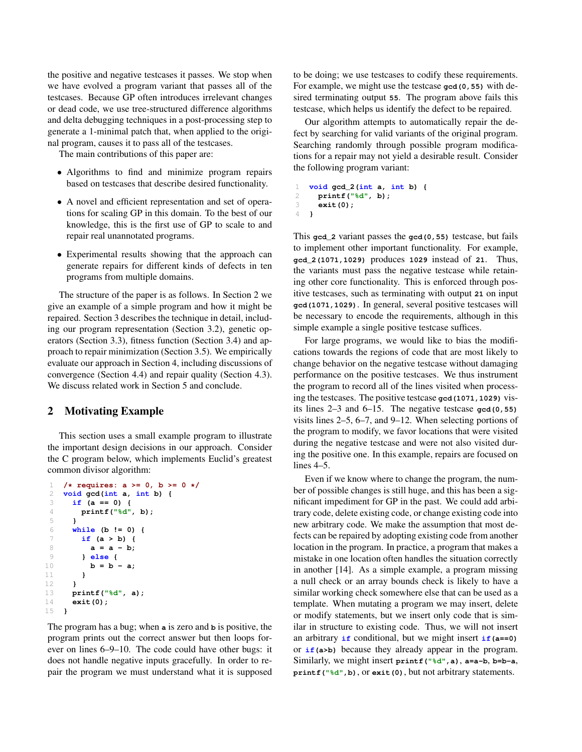the positive and negative testcases it passes. We stop when we have evolved a program variant that passes all of the testcases. Because GP often introduces irrelevant changes or dead code, we use tree-structured difference algorithms and delta debugging techniques in a post-processing step to generate a 1-minimal patch that, when applied to the original program, causes it to pass all of the testcases.

The main contributions of this paper are:

- Algorithms to find and minimize program repairs based on testcases that describe desired functionality.
- A novel and efficient representation and set of operations for scaling GP in this domain. To the best of our knowledge, this is the first use of GP to scale to and repair real unannotated programs.
- Experimental results showing that the approach can generate repairs for different kinds of defects in ten programs from multiple domains.

The structure of the paper is as follows. In Section 2 we give an example of a simple program and how it might be repaired. Section 3 describes the technique in detail, including our program representation (Section 3.2), genetic operators (Section 3.3), fitness function (Section 3.4) and approach to repair minimization (Section 3.5). We empirically evaluate our approach in Section 4, including discussions of convergence (Section 4.4) and repair quality (Section 4.3). We discuss related work in Section 5 and conclude.

## 2 Motivating Example

This section uses a small example program to illustrate the important design decisions in our approach. Consider the C program below, which implements Euclid's greatest common divisor algorithm:

```
1 /* requires: a >= 0, b >= 0 */
2 void gcd(int a, int b) {
3 if (a == 0) {
4 printf("%d", b);
5 }
6 while (b != 0) {
7 if (a > b) {
8 a = a - b;
9 } else {
10 b = b - a;
11 }
12 }
13 printf("%d", a);
14 exit(0);
15 }
```
The program has a bug; when **a** is zero and **b** is positive, the program prints out the correct answer but then loops forever on lines 6–9–10. The code could have other bugs: it does not handle negative inputs gracefully. In order to repair the program we must understand what it is supposed to be doing; we use testcases to codify these requirements. For example, we might use the testcase **gcd(0,55)** with desired terminating output **55**. The program above fails this testcase, which helps us identify the defect to be repaired.

Our algorithm attempts to automatically repair the defect by searching for valid variants of the original program. Searching randomly through possible program modifications for a repair may not yield a desirable result. Consider the following program variant:

```
1 void gcd_2(int a, int b) {
2 printf("%d", b);
3 exit(0);
4 }
```
This **gcd\_2** variant passes the **gcd(0,55)** testcase, but fails to implement other important functionality. For example, **gcd\_2(1071,1029)** produces **1029** instead of **21**. Thus, the variants must pass the negative testcase while retaining other core functionality. This is enforced through positive testcases, such as terminating with output **21** on input **gcd(1071,1029)**. In general, several positive testcases will be necessary to encode the requirements, although in this simple example a single positive testcase suffices.

For large programs, we would like to bias the modifications towards the regions of code that are most likely to change behavior on the negative testcase without damaging performance on the positive testcases. We thus instrument the program to record all of the lines visited when processing the testcases. The positive testcase **gcd(1071,1029)** visits lines 2–3 and 6–15. The negative testcase **gcd(0,55)** visits lines 2–5, 6–7, and 9–12. When selecting portions of the program to modify, we favor locations that were visited during the negative testcase and were not also visited during the positive one. In this example, repairs are focused on lines 4–5.

Even if we know where to change the program, the number of possible changes is still huge, and this has been a significant impediment for GP in the past. We could add arbitrary code, delete existing code, or change existing code into new arbitrary code. We make the assumption that most defects can be repaired by adopting existing code from another location in the program. In practice, a program that makes a mistake in one location often handles the situation correctly in another [14]. As a simple example, a program missing a null check or an array bounds check is likely to have a similar working check somewhere else that can be used as a template. When mutating a program we may insert, delete or modify statements, but we insert only code that is similar in structure to existing code. Thus, we will not insert an arbitrary **if** conditional, but we might insert **if**(a==0) or **if(a>b)** because they already appear in the program. Similarly, we might insert **printf("%d",a)**, **a=a-b**, **b=b-a**, **printf("%d",b)**, or **exit(0)**, but not arbitrary statements.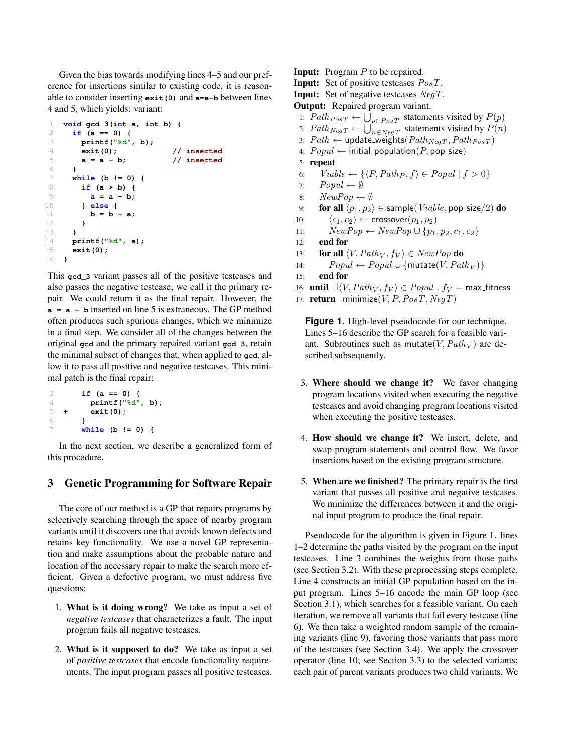Given the bias towards modifying lines 4–5 and our preference for insertions similar to existing code, it is reasonable to consider inserting **exit(0)** and **a=a-b** between lines 4 and 5, which yields: variant:

```
1 void gcd_3(int a, int b) {
2 if (a == 0) {
3 printf("%d", b);
4 exit(0); // inserted
5 a = a - b; // inserted
6 }
7 while (b != 0) {
8 if (a > b) {
9 a = a - b;
10 } else {
11 b = b - a;
12 }
13 }
14 printf("%d", a);
15 exit(0);
16 }
```
This **gcd\_3** variant passes all of the positive testcases and also passes the negative testcase; we call it the primary repair. We could return it as the final repair. However, the **a = a - b** inserted on line 5 is extraneous. The GP method often produces such spurious changes, which we minimize in a final step. We consider all of the changes between the original **gcd** and the primary repaired variant **gcd\_3**, retain the minimal subset of changes that, when applied to **gcd**, allow it to pass all positive and negative testcases. This minimal patch is the final repair:

```
3 if (a == 0) {
4 printf("%d", b);
5 + exit(0);
6 }
     7 while (b != 0) {
```
In the next section, we describe a generalized form of this procedure.

# 3 Genetic Programming for Software Repair

The core of our method is a GP that repairs programs by selectively searching through the space of nearby program variants until it discovers one that avoids known defects and retains key functionality. We use a novel GP representation and make assumptions about the probable nature and location of the necessary repair to make the search more efficient. Given a defective program, we must address five questions:

- 1. What is it doing wrong? We take as input a set of *negative testcases* that characterizes a fault. The input program fails all negative testcases.
- 2. What is it supposed to do? We take as input a set of *positive testcases* that encode functionality requirements. The input program passes all positive testcases.
- Input: Program P to be repaired. Input: Set of positive testcases PosT. Input: Set of negative testcases NegT. Output: Repaired program variant. 1:  $Path_{PosT} \leftarrow \bigcup_{p \in PosT}$  statements visited by  $P(p)$ 2:  $Path_{NegT} \leftarrow \bigcup_{n \in NegT}^{\infty}$  statements visited by  $P(n)$ 3:  $Path \leftarrow$  update\_weights $(Path_{NegT},Path_{PosT})$ 4:  $Popul \leftarrow$  initial\_population(P, pop\_size) 5: repeat
- 6:  $Viable \leftarrow {\langle P, Path_P, f \rangle \in Popul \mid f > 0}$
- 7:  $Popul \leftarrow \emptyset$
- 8:  $NewPop \leftarrow \emptyset$
- 9: for all  $\langle p_1, p_2 \rangle \in$  sample(*Viable*, pop\_size/2) do
- 10:  $\langle c_1, c_2 \rangle \leftarrow \text{crossover}(p_1, p_2)$
- 11:  $NewPop \leftarrow NewPop \cup \{p_1, p_2, c_1, c_2\}$
- 12: end for
- 13: for all  $\langle V,Path_V, f_V \rangle \in NewPop$  do
- 14:  $Popul \leftarrow Popul \cup \{mutate(V, Path_V)\}$
- 15: end for
- 16: **until**  $\exists \langle V, Path_V, f_V \rangle \in Popul$  .  $f_V$  = max fitness 17: **return** minimize(V, P,  $PosT$ ,  $NegT$ )

**Figure 1.** High-level pseudocode for our technique. Lines 5–16 describe the GP search for a feasible variant. Subroutines such as mutate( $V, Path_V$ ) are described subsequently.

- 3. Where should we change it? We favor changing program locations visited when executing the negative testcases and avoid changing program locations visited when executing the positive testcases.
- 4. How should we change it? We insert, delete, and swap program statements and control flow. We favor insertions based on the existing program structure.
- 5. When are we finished? The primary repair is the first variant that passes all positive and negative testcases. We minimize the differences between it and the original input program to produce the final repair.

Pseudocode for the algorithm is given in Figure 1. lines 1–2 determine the paths visited by the program on the input testcases. Line 3 combines the weights from those paths (see Section 3.2). With these preprocessing steps complete, Line 4 constructs an initial GP population based on the input program. Lines 5–16 encode the main GP loop (see Section 3.1), which searches for a feasible variant. On each iteration, we remove all variants that fail every testcase (line 6). We then take a weighted random sample of the remaining variants (line 9), favoring those variants that pass more of the testcases (see Section 3.4). We apply the crossover operator (line 10; see Section 3.3) to the selected variants; each pair of parent variants produces two child variants. We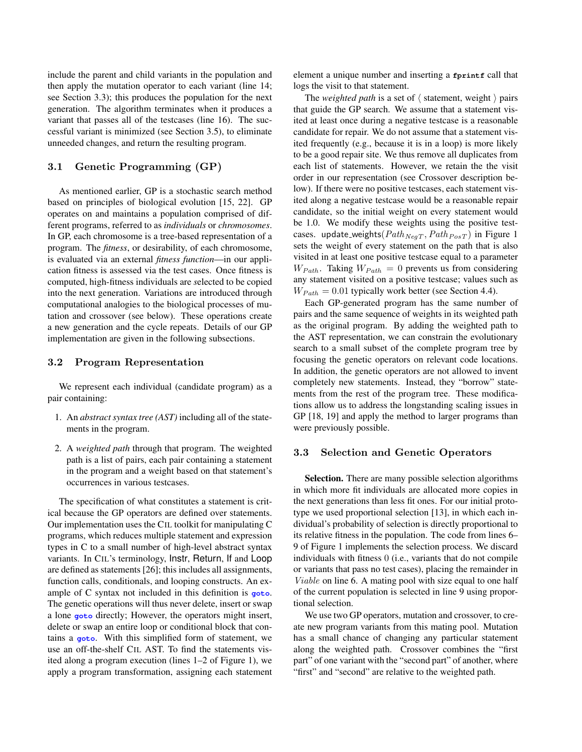include the parent and child variants in the population and then apply the mutation operator to each variant (line 14; see Section 3.3); this produces the population for the next generation. The algorithm terminates when it produces a variant that passes all of the testcases (line 16). The successful variant is minimized (see Section 3.5), to eliminate unneeded changes, and return the resulting program.

# 3.1 Genetic Programming (GP)

As mentioned earlier, GP is a stochastic search method based on principles of biological evolution [15, 22]. GP operates on and maintains a population comprised of different programs, referred to as *individuals* or *chromosomes*. In GP, each chromosome is a tree-based representation of a program. The *fitness*, or desirability, of each chromosome, is evaluated via an external *fitness function*—in our application fitness is assessed via the test cases. Once fitness is computed, high-fitness individuals are *s*elected to be copied into the next generation. Variations are introduced through computational analogies to the biological processes of mutation and crossover (see below). These operations create a new generation and the cycle repeats. Details of our GP implementation are given in the following subsections.

### 3.2 Program Representation

We represent each individual (candidate program) as a pair containing:

- 1. An *abstract syntax tree (AST)* including all of the statements in the program.
- 2. A *weighted path* through that program. The weighted path is a list of pairs, each pair containing a statement in the program and a weight based on that statement's occurrences in various testcases.

The specification of what constitutes a statement is critical because the GP operators are defined over statements. Our implementation uses the CIL toolkit for manipulating C programs, which reduces multiple statement and expression types in C to a small number of high-level abstract syntax variants. In CIL's terminology, Instr, Return, If and Loop are defined as statements [26]; this includes all assignments, function calls, conditionals, and looping constructs. An example of C syntax not included in this definition is **goto**. The genetic operations will thus never delete, insert or swap a lone **goto** directly; However, the operators might insert, delete or swap an entire loop or conditional block that contains a **goto**. With this simplified form of statement, we use an off-the-shelf CIL AST. To find the statements visited along a program execution (lines 1–2 of Figure 1), we apply a program transformation, assigning each statement element a unique number and inserting a **fprintf** call that logs the visit to that statement.

The *weighted path* is a set of  $\langle$  statement, weight  $\rangle$  pairs that guide the GP search. We assume that a statement visited at least once during a negative testcase is a reasonable candidate for repair. We do not assume that a statement visited frequently (e.g., because it is in a loop) is more likely to be a good repair site. We thus remove all duplicates from each list of statements. However, we retain the the visit order in our representation (see Crossover description below). If there were no positive testcases, each statement visited along a negative testcase would be a reasonable repair candidate, so the initial weight on every statement would be 1.0. We modify these weights using the positive testcases. update\_weights( $Path_{NegT}$ ,  $Path_{PosT}$ ) in Figure 1 sets the weight of every statement on the path that is also visited in at least one positive testcase equal to a parameter  $W_{Path}$ . Taking  $W_{Path} = 0$  prevents us from considering any statement visited on a positive testcase; values such as  $W_{Path} = 0.01$  typically work better (see Section 4.4).

Each GP-generated program has the same number of pairs and the same sequence of weights in its weighted path as the original program. By adding the weighted path to the AST representation, we can constrain the evolutionary search to a small subset of the complete program tree by focusing the genetic operators on relevant code locations. In addition, the genetic operators are not allowed to invent completely new statements. Instead, they "borrow" statements from the rest of the program tree. These modifications allow us to address the longstanding scaling issues in GP [18, 19] and apply the method to larger programs than were previously possible.

### 3.3 Selection and Genetic Operators

Selection. There are many possible selection algorithms in which more fit individuals are allocated more copies in the next generations than less fit ones. For our initial prototype we used proportional selection [13], in which each individual's probability of selection is directly proportional to its relative fitness in the population. The code from lines 6– 9 of Figure 1 implements the selection process. We discard individuals with fitness 0 (i.e., variants that do not compile or variants that pass no test cases), placing the remainder in Viable on line 6. A mating pool with size equal to one half of the current population is selected in line 9 using proportional selection.

We use two GP operators, mutation and crossover, to create new program variants from this mating pool. Mutation has a small chance of changing any particular statement along the weighted path. Crossover combines the "first part" of one variant with the "second part" of another, where "first" and "second" are relative to the weighted path.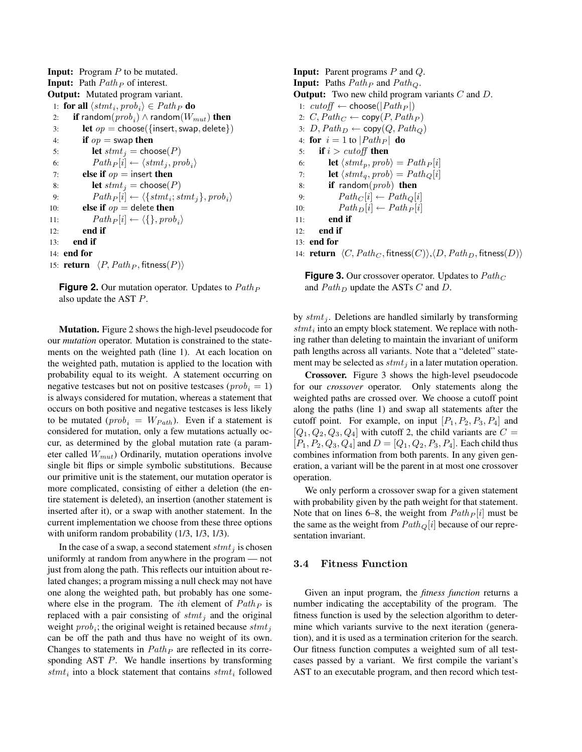**Input:** Program  $P$  to be mutated. **Input:** Path  $Path_P$  of interest. Output: Mutated program variant. 1: for all  $\langle$ *stmt<sub>i</sub>*,  $prob_i \rangle \in Path_P$  do 2:  $\quad \textbf{if random}(prob_i) \wedge \texttt{random}(W_{mut}) \textbf{ then}$ 3: **let**  $op = \text{choose}$  {insert, swap, delete}) 4: if  $op =$  swap then 5: **let**  $stmt_j = \text{choose}(P)$ 6:  $Path_{P}[i] \leftarrow \langle \textit{stmt}_j , \textit{prob}_i \rangle$ 7: **else if**  $op$  = insert **then** 8: **let**  $stmt_i = choose(P)$ 9:  $Path_P[i] \leftarrow \langle \{stmt_i;stmt_j\}, prob_i \rangle$ 10: **else if**  $op =$  delete **then** 11:  $Path_{P}[i] \leftarrow \langle \{\}, prob_{i}\rangle$ 12: end if 13: end if 14: end for 15: **return**  $\langle P, Path_P, fitness(P) \rangle$ 

**Figure 2.** Our mutation operator. Updates to  $Path_P$ also update the AST P.

Mutation. Figure 2 shows the high-level pseudocode for our *mutation* operator. Mutation is constrained to the statements on the weighted path (line 1). At each location on the weighted path, mutation is applied to the location with probability equal to its weight. A statement occurring on negative testcases but not on positive testcases ( $prob_i = 1$ ) is always considered for mutation, whereas a statement that occurs on both positive and negative testcases is less likely to be mutated ( $prob_i = W_{Path}$ ). Even if a statement is considered for mutation, only a few mutations actually occur, as determined by the global mutation rate (a parameter called  $W_{mut}$ ) Ordinarily, mutation operations involve single bit flips or simple symbolic substitutions. Because our primitive unit is the statement, our mutation operator is more complicated, consisting of either a deletion (the entire statement is deleted), an insertion (another statement is inserted after it), or a swap with another statement. In the current implementation we choose from these three options with uniform random probability  $(1/3, 1/3, 1/3)$ .

In the case of a swap, a second statement  $s$ tmt<sub>i</sub> is chosen uniformly at random from anywhere in the program — not just from along the path. This reflects our intuition about related changes; a program missing a null check may not have one along the weighted path, but probably has one somewhere else in the program. The *i*th element of  $Path_P$  is replaced with a pair consisting of  $s$ tmt<sub>j</sub> and the original weight  $prob_i$ ; the original weight is retained because  $s t m t_j$ can be off the path and thus have no weight of its own. Changes to statements in  $Path_{P}$  are reflected in its corresponding AST P. We handle insertions by transforming  $s t m t_i$  into a block statement that contains  $s t m t_i$  followed

Input: Parent programs P and Q. **Input:** Paths  $Path_P$  and  $Path_Q$ . **Output:** Two new child program variants  $C$  and  $D$ . 1:  $cutoff \leftarrow choose(|Path_P|)$ 2:  $C, Path_C \leftarrow \text{copy}(P, Path_P)$ 3:  $D, Path_D \leftarrow copy(Q, Path_Q)$ 4: for  $i = 1$  to  $\left| \frac{Path_P}{} \right|$  do 5: if  $i > cutoff$  then 6: **let**  $\langle$ *stmt<sub>p</sub>*, *prob* $\rangle$  = *Path<sub>P</sub>* [*i*] 7: **let**  $\langle$ *stmt*<sub>q</sub>, prob $\rangle$  = Path<sub>Q</sub>[i] 8: **if** random $(prob)$  then 9:  $Path_C[i] \leftarrow Path_Q[i]$ 10:  $Path_D[i] \leftarrow Path_P[i]$ 11: end if 12: end if 13: end for 14: **return**  $\langle C, Path_C, fitness(C) \rangle, \langle D,Path_D, fitness(D) \rangle$ 

**Figure 3.** Our crossover operator. Updates to  $Path_C$ and  $Path_D$  update the ASTs C and D.

by  $s t m t_i$ . Deletions are handled similarly by transforming  $s t m t_i$  into an empty block statement. We replace with nothing rather than deleting to maintain the invariant of uniform path lengths across all variants. Note that a "deleted" statement may be selected as  $s$ tm $t<sub>j</sub>$  in a later mutation operation.

Crossover. Figure 3 shows the high-level pseudocode for our *crossover* operator. Only statements along the weighted paths are crossed over. We choose a cutoff point along the paths (line 1) and swap all statements after the cutoff point. For example, on input  $[P_1, P_2, P_3, P_4]$  and  $[Q_1, Q_2, Q_3, Q_4]$  with cutoff 2, the child variants are  $C =$  $[P_1, P_2, Q_3, Q_4]$  and  $D = [Q_1, Q_2, P_3, P_4]$ . Each child thus combines information from both parents. In any given generation, a variant will be the parent in at most one crossover operation.

We only perform a crossover swap for a given statement with probability given by the path weight for that statement. Note that on lines 6–8, the weight from  $Path_{\mathcal{P}}[i]$  must be the same as the weight from  $Path_{Q}[i]$  because of our representation invariant.

## 3.4 Fitness Function

Given an input program, the *fitness function* returns a number indicating the acceptability of the program. The fitness function is used by the selection algorithm to determine which variants survive to the next iteration (generation), and it is used as a termination criterion for the search. Our fitness function computes a weighted sum of all testcases passed by a variant. We first compile the variant's AST to an executable program, and then record which test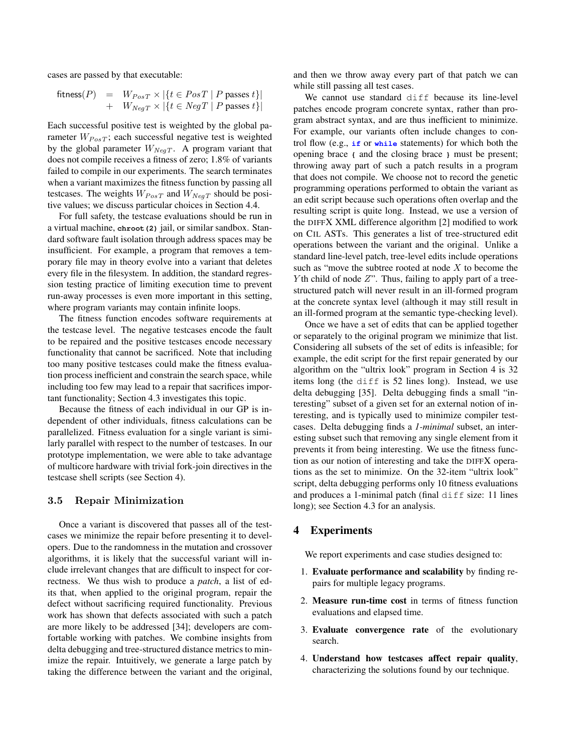cases are passed by that executable:

$$
fitness(P) = W_{PosT} \times |\{t \in PosT \mid P \text{ passes } t\}|
$$
  
+ 
$$
W_{NegT} \times |\{t \in NegT \mid P \text{ passes } t\}|
$$

Each successful positive test is weighted by the global parameter  $W_{PosT}$ ; each successful negative test is weighted by the global parameter  $W_{NegT}$ . A program variant that does not compile receives a fitness of zero; 1.8% of variants failed to compile in our experiments. The search terminates when a variant maximizes the fitness function by passing all testcases. The weights  $W_{PosT}$  and  $W_{NeqT}$  should be positive values; we discuss particular choices in Section 4.4.

For full safety, the testcase evaluations should be run in a virtual machine, **chroot(2)** jail, or similar sandbox. Standard software fault isolation through address spaces may be insufficient. For example, a program that removes a temporary file may in theory evolve into a variant that deletes every file in the filesystem. In addition, the standard regression testing practice of limiting execution time to prevent run-away processes is even more important in this setting, where program variants may contain infinite loops.

The fitness function encodes software requirements at the testcase level. The negative testcases encode the fault to be repaired and the positive testcases encode necessary functionality that cannot be sacrificed. Note that including too many positive testcases could make the fitness evaluation process inefficient and constrain the search space, while including too few may lead to a repair that sacrifices important functionality; Section 4.3 investigates this topic.

Because the fitness of each individual in our GP is independent of other individuals, fitness calculations can be parallelized. Fitness evaluation for a single variant is similarly parallel with respect to the number of testcases. In our prototype implementation, we were able to take advantage of multicore hardware with trivial fork-join directives in the testcase shell scripts (see Section 4).

#### 3.5 Repair Minimization

Once a variant is discovered that passes all of the testcases we minimize the repair before presenting it to developers. Due to the randomness in the mutation and crossover algorithms, it is likely that the successful variant will include irrelevant changes that are difficult to inspect for correctness. We thus wish to produce a *patch*, a list of edits that, when applied to the original program, repair the defect without sacrificing required functionality. Previous work has shown that defects associated with such a patch are more likely to be addressed [34]; developers are comfortable working with patches. We combine insights from delta debugging and tree-structured distance metrics to minimize the repair. Intuitively, we generate a large patch by taking the difference between the variant and the original, and then we throw away every part of that patch we can while still passing all test cases.

We cannot use standard diff because its line-level patches encode program concrete syntax, rather than program abstract syntax, and are thus inefficient to minimize. For example, our variants often include changes to control flow (e.g., **if** or **while** statements) for which both the opening brace **{** and the closing brace **}** must be present; throwing away part of such a patch results in a program that does not compile. We choose not to record the genetic programming operations performed to obtain the variant as an edit script because such operations often overlap and the resulting script is quite long. Instead, we use a version of the DIFFX XML difference algorithm [2] modified to work on CIL ASTs. This generates a list of tree-structured edit operations between the variant and the original. Unlike a standard line-level patch, tree-level edits include operations such as "move the subtree rooted at node  $X$  to become the Yth child of node  $Z$ ". Thus, failing to apply part of a treestructured patch will never result in an ill-formed program at the concrete syntax level (although it may still result in an ill-formed program at the semantic type-checking level).

Once we have a set of edits that can be applied together or separately to the original program we minimize that list. Considering all subsets of the set of edits is infeasible; for example, the edit script for the first repair generated by our algorithm on the "ultrix look" program in Section 4 is 32 items long (the diff is 52 lines long). Instead, we use delta debugging [35]. Delta debugging finds a small "interesting" subset of a given set for an external notion of interesting, and is typically used to minimize compiler testcases. Delta debugging finds a *1-minimal* subset, an interesting subset such that removing any single element from it prevents it from being interesting. We use the fitness function as our notion of interesting and take the DIFFX operations as the set to minimize. On the 32-item "ultrix look" script, delta debugging performs only 10 fitness evaluations and produces a 1-minimal patch (final diff size: 11 lines long); see Section 4.3 for an analysis.

#### 4 Experiments

We report experiments and case studies designed to:

- 1. Evaluate performance and scalability by finding repairs for multiple legacy programs.
- 2. Measure run-time cost in terms of fitness function evaluations and elapsed time.
- 3. Evaluate convergence rate of the evolutionary search.
- 4. Understand how testcases affect repair quality, characterizing the solutions found by our technique.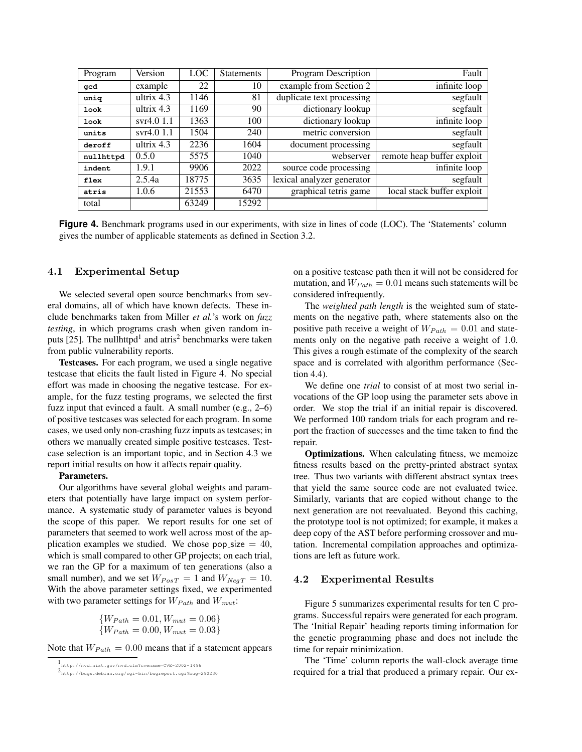| Program   | Version      | LOC   | <b>Statements</b> | Program Description        | Fault                      |
|-----------|--------------|-------|-------------------|----------------------------|----------------------------|
| qcd       | example      | 22    | 10                | example from Section 2     | infinite loop              |
| uniq      | ultrix $4.3$ | 1146  | 81                | duplicate text processing  | segfault                   |
| look      | ultrix $4.3$ | 1169  | 90                | dictionary lookup          | segfault                   |
| look      | svr4.01.1    | 1363  | 100               | dictionary lookup          | infinite loop              |
| units     | svr4.01.1    | 1504  | 240               | metric conversion          | segfault                   |
| deroff    | ultrix $4.3$ | 2236  | 1604              | document processing        | segfault                   |
| nullhttpd | 0.5.0        | 5575  | 1040              | webserver                  | remote heap buffer exploit |
| indent    | 1.9.1        | 9906  | 2022              | source code processing     | infinite loop              |
| flex      | 2.5.4a       | 18775 | 3635              | lexical analyzer generator | segfault                   |
| atris     | 1.0.6        | 21553 | 6470              | graphical tetris game      | local stack buffer exploit |
| total     |              | 63249 | 15292             |                            |                            |

**Figure 4.** Benchmark programs used in our experiments, with size in lines of code (LOC). The 'Statements' column gives the number of applicable statements as defined in Section 3.2.

#### 4.1 Experimental Setup

We selected several open source benchmarks from several domains, all of which have known defects. These include benchmarks taken from Miller *et al.*'s work on *fuzz testing*, in which programs crash when given random inputs [25]. The nullhttpd<sup>1</sup> and atris<sup>2</sup> benchmarks were taken from public vulnerability reports.

Testcases. For each program, we used a single negative testcase that elicits the fault listed in Figure 4. No special effort was made in choosing the negative testcase. For example, for the fuzz testing programs, we selected the first fuzz input that evinced a fault. A small number (e.g., 2–6) of positive testcases was selected for each program. In some cases, we used only non-crashing fuzz inputs as testcases; in others we manually created simple positive testcases. Testcase selection is an important topic, and in Section 4.3 we report initial results on how it affects repair quality.

#### Parameters.

Our algorithms have several global weights and parameters that potentially have large impact on system performance. A systematic study of parameter values is beyond the scope of this paper. We report results for one set of parameters that seemed to work well across most of the application examples we studied. We chose pop size  $= 40$ , which is small compared to other GP projects; on each trial, we ran the GP for a maximum of ten generations (also a small number), and we set  $W_{PosT} = 1$  and  $W_{NegT} = 10$ . With the above parameter settings fixed, we experimented with two parameter settings for  $W_{Path}$  and  $W_{mut}$ :

$$
{\begin{aligned}\n\{W_{Path} = 0.01, W_{mut} = 0.06\} \\
\{W_{Path} = 0.00, W_{mut} = 0.03\}\n\end{aligned}}
$$

Note that  $W_{Path} = 0.00$  means that if a statement appears

on a positive testcase path then it will not be considered for mutation, and  $W_{Path} = 0.01$  means such statements will be considered infrequently.

The *weighted path length* is the weighted sum of statements on the negative path, where statements also on the positive path receive a weight of  $W_{Path} = 0.01$  and statements only on the negative path receive a weight of 1.0. This gives a rough estimate of the complexity of the search space and is correlated with algorithm performance (Section 4.4).

We define one *trial* to consist of at most two serial invocations of the GP loop using the parameter sets above in order. We stop the trial if an initial repair is discovered. We performed 100 random trials for each program and report the fraction of successes and the time taken to find the repair.

Optimizations. When calculating fitness, we memoize fitness results based on the pretty-printed abstract syntax tree. Thus two variants with different abstract syntax trees that yield the same source code are not evaluated twice. Similarly, variants that are copied without change to the next generation are not reevaluated. Beyond this caching, the prototype tool is not optimized; for example, it makes a deep copy of the AST before performing crossover and mutation. Incremental compilation approaches and optimizations are left as future work.

### 4.2 Experimental Results

Figure 5 summarizes experimental results for ten C programs. Successful repairs were generated for each program. The 'Initial Repair' heading reports timing information for the genetic programming phase and does not include the time for repair minimization.

The 'Time' column reports the wall-clock average time required for a trial that produced a primary repair. Our ex-

<sup>1</sup> http://nvd.nist.gov/nvd.cfm?cvename=CVE-2002-1496

<sup>2</sup> http://bugs.debian.org/cgi-bin/bugreport.cgi?bug=290230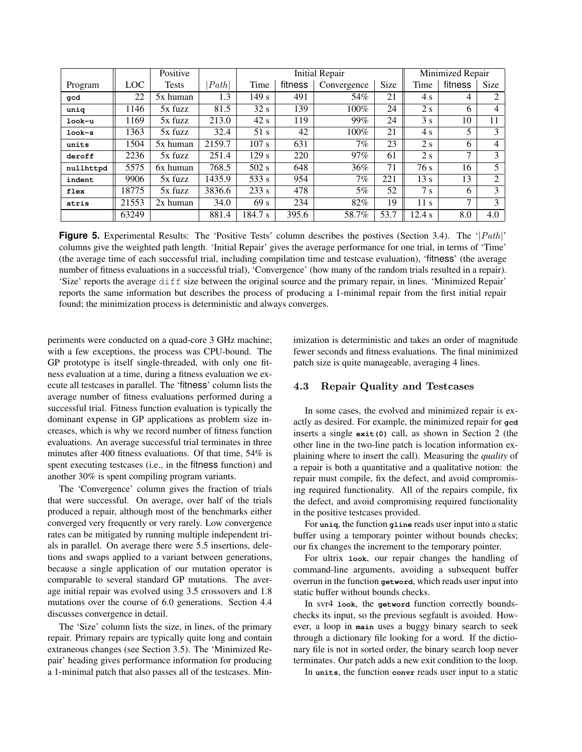|           |       | Positive     |        | <b>Initial Repair</b> |         |             | Minimized Repair |                 |               |                |
|-----------|-------|--------------|--------|-----------------------|---------|-------------|------------------|-----------------|---------------|----------------|
| Program   | LOC   | <b>Tests</b> | Path   | Time                  | fitness | Convergence | <b>Size</b>      | Time            | fitness       | <b>Size</b>    |
| qcd       | 22    | 5x human     | 1.3    | 149s                  | 491     | 54%         | 21               | 4 s             | 4             | $\mathfrak{D}$ |
| uniq      | 1146  | 5x fuzz      | 81.5   | 32 s                  | 139     | 100%        | 24               | 2s              | 6             | 4              |
| look-u    | 1169  | 5x fuzz      | 213.0  | 42s                   | 119     | 99%         | 24               | 3s              | 10            | 11             |
| $100k-s$  | 1363  | 5x fuzz      | 32.4   | 51 s                  | 42      | 100%        | 21               | 4 s             |               | 3              |
| units     | 1504  | 5x human     | 2159.7 | 107 s                 | 631     | 7%          | 23               | 2s              | 6             | 4              |
| deroff    | 2236  | 5x fuzz      | 251.4  | 129s                  | 220     | 97%         | 61               | 2s              | $\mathcal{I}$ | 3              |
| nullhttpd | 5575  | 6x human     | 768.5  | $502$ s               | 648     | 36%         | 71               | 76 s            | 16            | 5              |
| indent    | 9906  | 5x fuzz      | 1435.9 | 533 s                 | 954     | $7\%$       | 221              | 13 s            | 13            | $\overline{2}$ |
| flex      | 18775 | 5x fuzz      | 3836.6 | 233 s                 | 478     | 5%          | 52               | 7 <sub>s</sub>  | 6             | 3              |
| atris     | 21553 | $2x$ human   | 34.0   | 69 <sub>s</sub>       | 234     | 82%         | 19               | 11 <sub>s</sub> | 7             | 3              |
|           | 63249 |              | 881.4  | 184.7 s               | 395.6   | 58.7%       | 53.7             | 12.4 s          | 8.0           | 4.0            |

**Figure 5.** Experimental Results: The 'Positive Tests' column describes the postives (Section 3.4). The '|Path|' columns give the weighted path length. 'Initial Repair' gives the average performance for one trial, in terms of 'Time' (the average time of each successful trial, including compilation time and testcase evaluation), 'fitness' (the average number of fitness evaluations in a successful trial), 'Convergence' (how many of the random trials resulted in a repair). 'Size' reports the average diff size between the original source and the primary repair, in lines. 'Minimized Repair' reports the same information but describes the process of producing a 1-minimal repair from the first initial repair found; the minimization process is deterministic and always converges.

periments were conducted on a quad-core 3 GHz machine; with a few exceptions, the process was CPU-bound. The GP prototype is itself single-threaded, with only one fitness evaluation at a time, during a fitness evaluation we execute all testcases in parallel. The 'fitness' column lists the average number of fitness evaluations performed during a successful trial. Fitness function evaluation is typically the dominant expense in GP applications as problem size increases, which is why we record number of fitness function evaluations. An average successful trial terminates in three minutes after 400 fitness evaluations. Of that time, 54% is spent executing testcases (i.e., in the fitness function) and another 30% is spent compiling program variants.

The 'Convergence' column gives the fraction of trials that were successful. On average, over half of the trials produced a repair, although most of the benchmarks either converged very frequently or very rarely. Low convergence rates can be mitigated by running multiple independent trials in parallel. On average there were 5.5 insertions, deletions and swaps applied to a variant between generations, because a single application of our mutation operator is comparable to several standard GP mutations. The average initial repair was evolved using 3.5 crossovers and 1.8 mutations over the course of 6.0 generations. Section 4.4 discusses convergence in detail.

The 'Size' column lists the size, in lines, of the primary repair. Primary repairs are typically quite long and contain extraneous changes (see Section 3.5). The 'Minimized Repair' heading gives performance information for producing a 1-minimal patch that also passes all of the testcases. Minimization is deterministic and takes an order of magnitude fewer seconds and fitness evaluations. The final minimized patch size is quite manageable, averaging 4 lines.

## 4.3 Repair Quality and Testcases

In some cases, the evolved and minimized repair is exactly as desired. For example, the minimized repair for **gcd** inserts a single **exit(0)** call, as shown in Section 2 (the other line in the two-line patch is location information explaining where to insert the call). Measuring the *quality* of a repair is both a quantitative and a qualitative notion: the repair must compile, fix the defect, and avoid compromising required functionality. All of the repairs compile, fix the defect, and avoid compromising required functionality in the positive testcases provided.

For **uniq**, the function **gline** reads user input into a static buffer using a temporary pointer without bounds checks; our fix changes the increment to the temporary pointer.

For ultrix **look**, our repair changes the handling of command-line arguments, avoiding a subsequent buffer overrun in the function **getword**, which reads user input into static buffer without bounds checks.

In svr4 **look**, the **getword** function correctly boundschecks its input, so the previous segfault is avoided. However, a loop in **main** uses a buggy binary search to seek through a dictionary file looking for a word. If the dictionary file is not in sorted order, the binary search loop never terminates. Our patch adds a new exit condition to the loop.

In **units**, the function **convr** reads user input to a static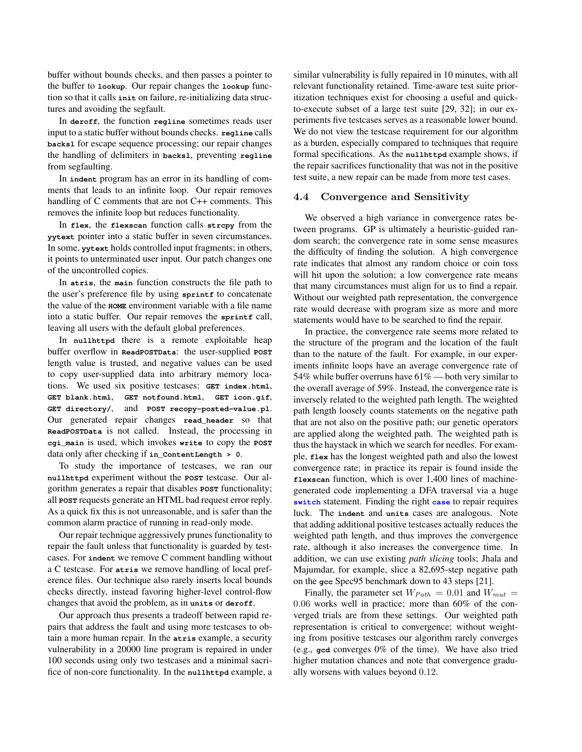buffer without bounds checks, and then passes a pointer to the buffer to **lookup**. Our repair changes the **lookup** function so that it calls **init** on failure, re-initializing data structures and avoiding the segfault.

In **deroff**, the function **regline** sometimes reads user input to a static buffer without bounds checks. **regline** calls **backsl** for escape sequence processing; our repair changes the handling of delimiters in **backsl**, preventing **regline** from segfaulting.

In **indent** program has an error in its handling of comments that leads to an infinite loop. Our repair removes handling of C comments that are not C++ comments. This removes the infinite loop but reduces functionality.

In **flex**, the **flexscan** function calls **strcpy** from the **yytext** pointer into a static buffer in seven circumstances. In some, **yytext** holds controlled input fragments; in others, it points to unterminated user input. Our patch changes one of the uncontrolled copies.

In **atris**, the **main** function constructs the file path to the user's preference file by using **sprintf** to concatenate the value of the **HOME** environment variable with a file name into a static buffer. Our repair removes the **sprintf** call, leaving all users with the default global preferences.

In **nullhttpd** there is a remote exploitable heap buffer overflow in **ReadPOSTData**: the user-supplied **POST** length value is trusted, and negative values can be used to copy user-supplied data into arbitrary memory locations. We used six positive testcases: **GET index.html**, **GET blank.html**, **GET notfound.html**, **GET icon.gif**, **GET directory/**, and **POST recopy-posted-value.pl**. Our generated repair changes **read\_header** so that **ReadPOSTData** is not called. Instead, the processing in **cgi\_main** is used, which invokes **write** to copy the **POST** data only after checking if **in\_ContentLength > 0**.

To study the importance of testcases, we ran our **nullhttpd** experiment without the **POST** testcase. Our algorithm generates a repair that disables **POST** functionality; all **POST** requests generate an HTML bad request error reply. As a quick fix this is not unreasonable, and is safer than the common alarm practice of running in read-only mode.

Our repair technique aggressively prunes functionality to repair the fault unless that functionality is guarded by testcases. For **indent** we remove C comment handling without a C testcase. For **atris** we remove handling of local preference files. Our technique also rarely inserts local bounds checks directly, instead favoring higher-level control-flow changes that avoid the problem, as in **units** or **deroff**.

Our approach thus presents a tradeoff between rapid repairs that address the fault and using more testcases to obtain a more human repair. In the **atris** example, a security vulnerability in a 20000 line program is repaired in under 100 seconds using only two testcases and a minimal sacrifice of non-core functionality. In the **nullhttpd** example, a similar vulnerability is fully repaired in 10 minutes, with all relevant functionality retained. Time-aware test suite prioritization techniques exist for choosing a useful and quickto-execute subset of a large test suite [29, 32]; in our experiments five testcases serves as a reasonable lower bound. We do not view the testcase requirement for our algorithm as a burden, especially compared to techniques that require formal specifications. As the **nullhttpd** example shows, if the repair sacrifices functionality that was not in the positive test suite, a new repair can be made from more test cases.

#### 4.4 Convergence and Sensitivity

We observed a high variance in convergence rates between programs. GP is ultimately a heuristic-guided random search; the convergence rate in some sense measures the difficulty of finding the solution. A high convergence rate indicates that almost any random choice or coin toss will hit upon the solution; a low convergence rate means that many circumstances must align for us to find a repair. Without our weighted path representation, the convergence rate would decrease with program size as more and more statements would have to be searched to find the repair.

In practice, the convergence rate seems more related to the structure of the program and the location of the fault than to the nature of the fault. For example, in our experiments infinite loops have an average convergence rate of 54% while buffer overruns have  $61\%$  — both very similar to the overall average of 59%. Instead, the convergence rate is inversely related to the weighted path length. The weighted path length loosely counts statements on the negative path that are not also on the positive path; our genetic operators are applied along the weighted path. The weighted path is thus the haystack in which we search for needles. For example, **flex** has the longest weighted path and also the lowest convergence rate; in practice its repair is found inside the **flexscan** function, which is over 1,400 lines of machinegenerated code implementing a DFA traversal via a huge **switch** statement. Finding the right **case** to repair requires luck. The **indent** and **units** cases are analogous. Note that adding additional positive testcases actually reduces the weighted path length, and thus improves the convergence rate, although it also increases the convergence time. In addition, we can use existing *path slicing* tools; Jhala and Majumdar, for example, slice a 82,695-step negative path on the **gcc** Spec95 benchmark down to 43 steps [21].

Finally, the parameter set  $W_{Path} = 0.01$  and  $W_{mut} =$ 0.06 works well in practice; more than 60% of the converged trials are from these settings. Our weighted path representation is critical to convergence; without weighting from positive testcases our algorithm rarely converges (e.g., **gcd** converges 0% of the time). We have also tried higher mutation chances and note that convergence gradually worsens with values beyond 0.12.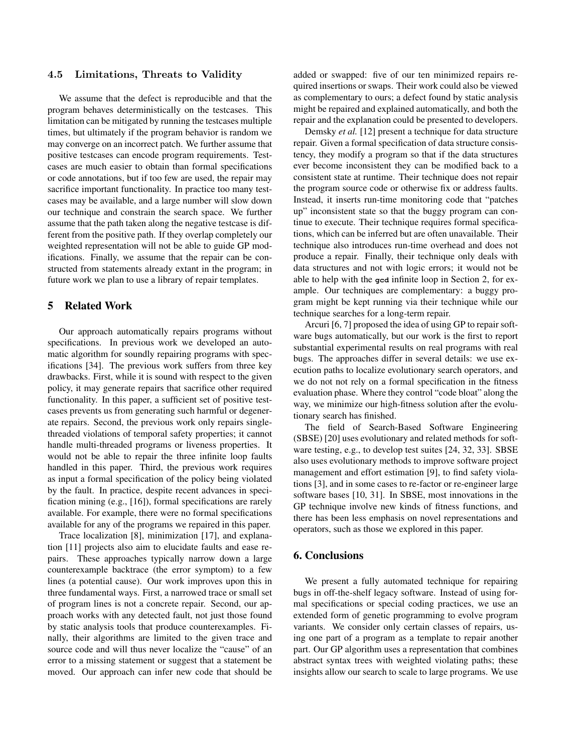### 4.5 Limitations, Threats to Validity

We assume that the defect is reproducible and that the program behaves deterministically on the testcases. This limitation can be mitigated by running the testcases multiple times, but ultimately if the program behavior is random we may converge on an incorrect patch. We further assume that positive testcases can encode program requirements. Testcases are much easier to obtain than formal specifications or code annotations, but if too few are used, the repair may sacrifice important functionality. In practice too many testcases may be available, and a large number will slow down our technique and constrain the search space. We further assume that the path taken along the negative testcase is different from the positive path. If they overlap completely our weighted representation will not be able to guide GP modifications. Finally, we assume that the repair can be constructed from statements already extant in the program; in future work we plan to use a library of repair templates.

## 5 Related Work

Our approach automatically repairs programs without specifications. In previous work we developed an automatic algorithm for soundly repairing programs with specifications [34]. The previous work suffers from three key drawbacks. First, while it is sound with respect to the given policy, it may generate repairs that sacrifice other required functionality. In this paper, a sufficient set of positive testcases prevents us from generating such harmful or degenerate repairs. Second, the previous work only repairs singlethreaded violations of temporal safety properties; it cannot handle multi-threaded programs or liveness properties. It would not be able to repair the three infinite loop faults handled in this paper. Third, the previous work requires as input a formal specification of the policy being violated by the fault. In practice, despite recent advances in specification mining (e.g., [16]), formal specifications are rarely available. For example, there were no formal specifications available for any of the programs we repaired in this paper.

Trace localization [8], minimization [17], and explanation [11] projects also aim to elucidate faults and ease repairs. These approaches typically narrow down a large counterexample backtrace (the error symptom) to a few lines (a potential cause). Our work improves upon this in three fundamental ways. First, a narrowed trace or small set of program lines is not a concrete repair. Second, our approach works with any detected fault, not just those found by static analysis tools that produce counterexamples. Finally, their algorithms are limited to the given trace and source code and will thus never localize the "cause" of an error to a missing statement or suggest that a statement be moved. Our approach can infer new code that should be added or swapped: five of our ten minimized repairs required insertions or swaps. Their work could also be viewed as complementary to ours; a defect found by static analysis might be repaired and explained automatically, and both the repair and the explanation could be presented to developers.

Demsky *et al.* [12] present a technique for data structure repair. Given a formal specification of data structure consistency, they modify a program so that if the data structures ever become inconsistent they can be modified back to a consistent state at runtime. Their technique does not repair the program source code or otherwise fix or address faults. Instead, it inserts run-time monitoring code that "patches up" inconsistent state so that the buggy program can continue to execute. Their technique requires formal specifications, which can be inferred but are often unavailable. Their technique also introduces run-time overhead and does not produce a repair. Finally, their technique only deals with data structures and not with logic errors; it would not be able to help with the **gcd** infinite loop in Section 2, for example. Our techniques are complementary: a buggy program might be kept running via their technique while our technique searches for a long-term repair.

Arcuri [6, 7] proposed the idea of using GP to repair software bugs automatically, but our work is the first to report substantial experimental results on real programs with real bugs. The approaches differ in several details: we use execution paths to localize evolutionary search operators, and we do not not rely on a formal specification in the fitness evaluation phase. Where they control "code bloat" along the way, we minimize our high-fitness solution after the evolutionary search has finished.

The field of Search-Based Software Engineering (SBSE) [20] uses evolutionary and related methods for software testing, e.g., to develop test suites [24, 32, 33]. SBSE also uses evolutionary methods to improve software project management and effort estimation [9], to find safety violations [3], and in some cases to re-factor or re-engineer large software bases [10, 31]. In SBSE, most innovations in the GP technique involve new kinds of fitness functions, and there has been less emphasis on novel representations and operators, such as those we explored in this paper.

### 6. Conclusions

We present a fully automated technique for repairing bugs in off-the-shelf legacy software. Instead of using formal specifications or special coding practices, we use an extended form of genetic programming to evolve program variants. We consider only certain classes of repairs, using one part of a program as a template to repair another part. Our GP algorithm uses a representation that combines abstract syntax trees with weighted violating paths; these insights allow our search to scale to large programs. We use